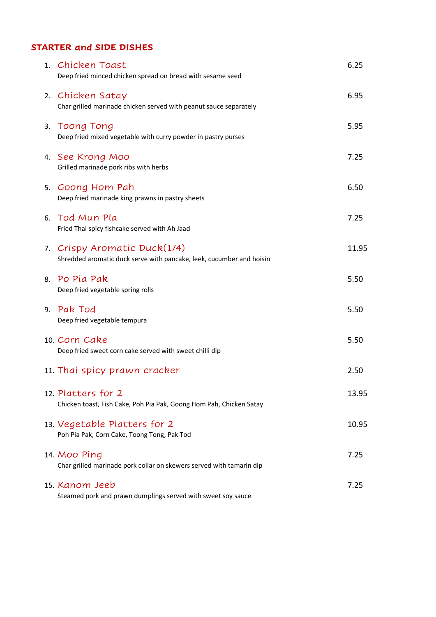# **STARTER and SIDE DISHES**

| 1. Chicken Toast<br>Deep fried minced chicken spread on bread with sesame seed                       | 6.25  |
|------------------------------------------------------------------------------------------------------|-------|
| 2. Chicken Satay<br>Char grilled marinade chicken served with peanut sauce separately                | 6.95  |
| 3. Toong Tong<br>Deep fried mixed vegetable with curry powder in pastry purses                       | 5.95  |
| 4. See Krong Moo<br>Grilled marinade pork ribs with herbs                                            | 7.25  |
| 5. Goong Hom Pah<br>Deep fried marinade king prawns in pastry sheets                                 | 6.50  |
| 6. Tod Mun Pla<br>Fried Thai spicy fishcake served with Ah Jaad                                      | 7.25  |
| 7. Crispy Aromatic Duck(1/4)<br>Shredded aromatic duck serve with pancake, leek, cucumber and hoisin | 11.95 |
| 8. Po Pia Pak<br>Deep fried vegetable spring rolls                                                   | 5.50  |
| 9. Pak Tod<br>Deep fried vegetable tempura                                                           | 5.50  |
| 10. Corn Cake<br>Deep fried sweet corn cake served with sweet chilli dip                             | 5.50  |
| 11. Thai spicy prawn cracker                                                                         | 2.50  |
| 12. Platters for 2<br>Chicken toast, Fish Cake, Poh Pia Pak, Goong Hom Pah, Chicken Satay            | 13.95 |
| 13. Vegetable Platters for 2<br>Poh Pia Pak, Corn Cake, Toong Tong, Pak Tod                          | 10.95 |
| 14. Moo Ping<br>Char grilled marinade pork collar on skewers served with tamarin dip                 | 7.25  |
| 15. Kanom Jeeb<br>Steamed pork and prawn dumplings served with sweet soy sauce                       | 7.25  |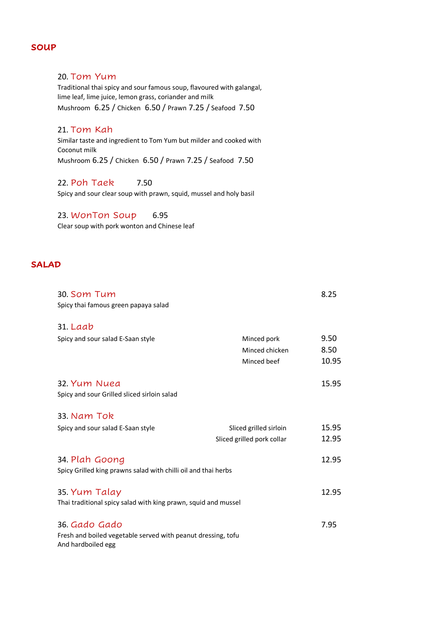#### **SOUP**

#### 20. Tom Yum

Traditional thai spicy and sour famous soup, flavoured with galangal, lime leaf, lime juice, lemon grass, coriander and milk Mushroom 6.25 / Chicken 6.50 / Prawn 7.25 / Seafood 7.50

#### 21. Tom Kah

Similar taste and ingredient to Tom Yum but milder and cooked with Coconut milk Mushroom 6.25 / Chicken 6.50 / Prawn 7.25 / Seafood 7.50

#### 22. Poh Taek 7.50

Spicy and sour clear soup with prawn, squid, mussel and holy basil

# 23. WonTon Soup 6.95

Clear soup with pork wonton and Chinese leaf

# **SALAD**

| 30. Som Tum                                                    |                            | 8.25  |  |
|----------------------------------------------------------------|----------------------------|-------|--|
| Spicy thai famous green papaya salad                           |                            |       |  |
| $31.$ Laab                                                     |                            |       |  |
| Spicy and sour salad E-Saan style                              | Minced pork                | 9.50  |  |
|                                                                | Minced chicken             | 8.50  |  |
|                                                                | Minced beef                | 10.95 |  |
| 32. Yum Nuea                                                   |                            | 15.95 |  |
| Spicy and sour Grilled sliced sirloin salad                    |                            |       |  |
| 33. Nam Tok                                                    |                            |       |  |
| Spicy and sour salad E-Saan style                              | Sliced grilled sirloin     | 15.95 |  |
|                                                                | Sliced grilled pork collar | 12.95 |  |
| 34. Plah Goong                                                 |                            | 12.95 |  |
| Spicy Grilled king prawns salad with chilli oil and thai herbs |                            |       |  |
| 35. Yum Talay                                                  |                            | 12.95 |  |
| Thai traditional spicy salad with king prawn, squid and mussel |                            |       |  |
| 36. Gado Gado                                                  |                            | 7.95  |  |
| Fresh and boiled vegetable served with peanut dressing, tofu   |                            |       |  |
| And hardboiled egg                                             |                            |       |  |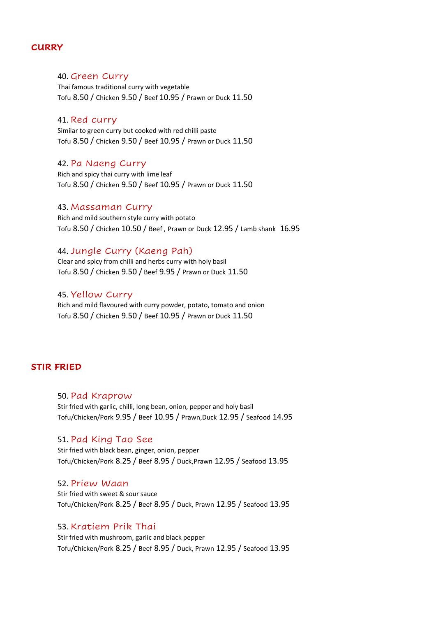## **CURRY**

#### 40. Green Curry

Thai famous traditional curry with vegetable Tofu 8.50 / Chicken 9.50 / Beef 10.95 / Prawn or Duck 11.50

#### 41. Red curry

Similar to green curry but cooked with red chilli paste Tofu 8.50 / Chicken 9.50 / Beef 10.95 / Prawn or Duck 11.50

#### 42. Pa Naeng Curry

Rich and spicy thai curry with lime leaf Tofu 8.50 / Chicken 9.50 / Beef 10.95 / Prawn or Duck 11.50

#### 43. Massaman Curry

Rich and mild southern style curry with potato Tofu 8.50 / Chicken 10.50 / Beef , Prawn or Duck 12.95 / Lamb shank 16.95

#### 44. Jungle Curry (Kaeng Pah)

Clear and spicy from chilli and herbs curry with holy basil Tofu 8.50 / Chicken 9.50 / Beef 9.95 / Prawn or Duck 11.50

#### 45. Yellow Curry

Rich and mild flavoured with curry powder, potato, tomato and onion Tofu 8.50 / Chicken 9.50 / Beef 10.95 / Prawn or Duck 11.50

## **STIR FRIED**

## 50. Pad Kraprow Stir fried with garlic, chilli, long bean, onion, pepper and holy basil Tofu/Chicken/Pork 9.95 / Beef 10.95 / Prawn,Duck 12.95 / Seafood 14.95

#### 51. Pad King Tao See

Stir fried with black bean, ginger, onion, pepper Tofu/Chicken/Pork 8.25 / Beef 8.95 / Duck,Prawn 12.95 / Seafood 13.95

#### 52. Priew Waan

Stir fried with sweet & sour sauce Tofu/Chicken/Pork 8.25 / Beef 8.95 / Duck, Prawn 12.95 / Seafood 13.95

#### 53. Kratiem Prik Thai

Stir fried with mushroom, garlic and black pepper Tofu/Chicken/Pork 8.25 / Beef 8.95 / Duck, Prawn 12.95 / Seafood 13.95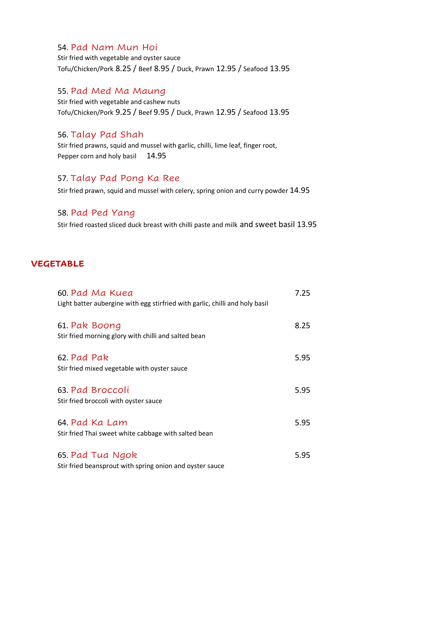## 54. Pad Nam Mun Hoi

Stir fried with vegetable and oyster sauce Tofu/Chicken/Pork 8.25 / Beef 8.95 / Duck, Prawn 12.95 / Seafood 13.95

### 55. Pad Med Ma Maung

Stir fried with vegetable and cashew nuts Tofu/Chicken/Pork 9.25 / Beef 9.95 / Duck, Prawn 12.95 / Seafood 13.95

# 56. Talay Pad Shah

Stir fried prawns, squid and mussel with garlic, chilli, lime leaf, finger root, Pepper corn and holy basil 14.95

### 57. Talay Pad Pong Ka Ree

Stir fried prawn, squid and mussel with celery, spring onion and curry powder 14.95

## 58. Pad Ped Yang

Stir fried roasted sliced duck breast with chilli paste and milk and sweet basil 13.95

## **VEGETABLE**

| 60. Pad Ma Kuea<br>Light batter aubergine with egg stirfried with garlic, chilli and holy basil | 7.25 |
|-------------------------------------------------------------------------------------------------|------|
| 61. Pak Boong<br>Stir fried morning glory with chilli and salted bean                           | 8.25 |
| 62. Pad Pak<br>Stir fried mixed vegetable with oyster sauce                                     | 5.95 |
| 63. Pad Broccoli<br>Stir fried broccoli with oyster sauce                                       | 5.95 |
| 64. Pad Ka Lam<br>Stir fried Thai sweet white cabbage with salted bean                          | 5.95 |
| 65. Pad Tua Ngok<br>Stir fried beansprout with spring onion and oyster sauce                    | 5.95 |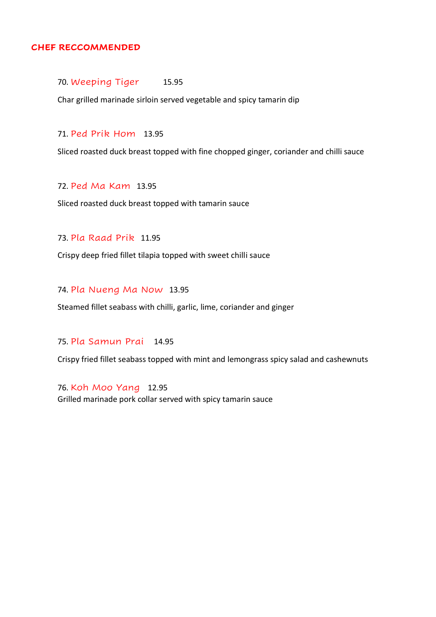## **CHEF RECCOMMENDED**

#### 70. Weeping Tiger 15.95

Char grilled marinade sirloin served vegetable and spicy tamarin dip

#### 71. Ped Prik Hom 13.95

Sliced roasted duck breast topped with fine chopped ginger, coriander and chilli sauce

### 72. Ped Ma Kam 13.95

Sliced roasted duck breast topped with tamarin sauce

# 73. Pla Raad Prik 11.95

Crispy deep fried fillet tilapia topped with sweet chilli sauce

# 74. Pla Nueng Ma Now 13.95

Steamed fillet seabass with chilli, garlic, lime, coriander and ginger

# 75. Pla Samun Prai 14.95

Crispy fried fillet seabass topped with mint and lemongrass spicy salad and cashewnuts

76. Koh Moo Yang 12.95 Grilled marinade pork collar served with spicy tamarin sauce